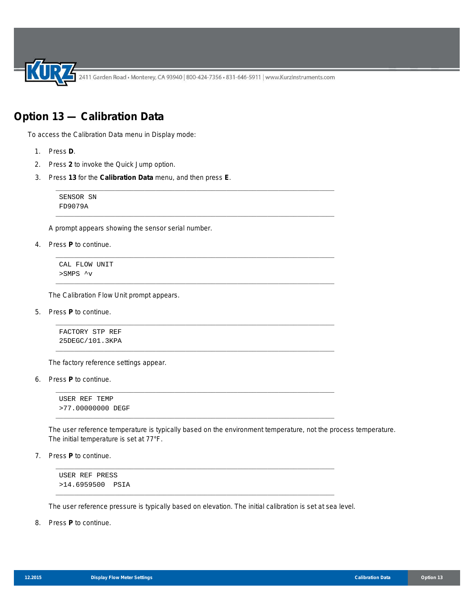2411 Garden Road • Monterey, CA 93940 | 800-424-7356 • 831-646-5911 | www.KurzInstruments.com

\_\_\_\_\_\_\_\_\_\_\_\_\_\_\_\_\_\_\_\_\_\_\_\_\_\_\_\_\_\_\_\_\_\_\_\_\_\_\_\_\_\_\_\_\_\_\_\_\_\_\_\_\_\_\_\_\_\_\_\_\_\_\_\_\_\_\_\_\_\_\_\_\_\_\_

\_\_\_\_\_\_\_\_\_\_\_\_\_\_\_\_\_\_\_\_\_\_\_\_\_\_\_\_\_\_\_\_\_\_\_\_\_\_\_\_\_\_\_\_\_\_\_\_\_\_\_\_\_\_\_\_\_\_\_\_\_\_\_\_\_\_\_\_\_\_\_\_\_\_\_

\_\_\_\_\_\_\_\_\_\_\_\_\_\_\_\_\_\_\_\_\_\_\_\_\_\_\_\_\_\_\_\_\_\_\_\_\_\_\_\_\_\_\_\_\_\_\_\_\_\_\_\_\_\_\_\_\_\_\_\_\_\_\_\_\_\_\_\_\_\_\_\_\_\_\_

\_\_\_\_\_\_\_\_\_\_\_\_\_\_\_\_\_\_\_\_\_\_\_\_\_\_\_\_\_\_\_\_\_\_\_\_\_\_\_\_\_\_\_\_\_\_\_\_\_\_\_\_\_\_\_\_\_\_\_\_\_\_\_\_\_\_\_\_\_\_\_\_\_\_\_

\_\_\_\_\_\_\_\_\_\_\_\_\_\_\_\_\_\_\_\_\_\_\_\_\_\_\_\_\_\_\_\_\_\_\_\_\_\_\_\_\_\_\_\_\_\_\_\_\_\_\_\_\_\_\_\_\_\_\_\_\_\_\_\_\_\_\_\_\_\_\_\_\_\_\_

\_\_\_\_\_\_\_\_\_\_\_\_\_\_\_\_\_\_\_\_\_\_\_\_\_\_\_\_\_\_\_\_\_\_\_\_\_\_\_\_\_\_\_\_\_\_\_\_\_\_\_\_\_\_\_\_\_\_\_\_\_\_\_\_\_\_\_\_\_\_\_\_\_\_\_

\_\_\_\_\_\_\_\_\_\_\_\_\_\_\_\_\_\_\_\_\_\_\_\_\_\_\_\_\_\_\_\_\_\_\_\_\_\_\_\_\_\_\_\_\_\_\_\_\_\_\_\_\_\_\_\_\_\_\_\_\_\_\_\_\_\_\_\_\_\_\_\_\_\_\_

\_\_\_\_\_\_\_\_\_\_\_\_\_\_\_\_\_\_\_\_\_\_\_\_\_\_\_\_\_\_\_\_\_\_\_\_\_\_\_\_\_\_\_\_\_\_\_\_\_\_\_\_\_\_\_\_\_\_\_\_\_\_\_\_\_\_\_\_\_\_\_\_\_\_\_

\_\_\_\_\_\_\_\_\_\_\_\_\_\_\_\_\_\_\_\_\_\_\_\_\_\_\_\_\_\_\_\_\_\_\_\_\_\_\_\_\_\_\_\_\_\_\_\_\_\_\_\_\_\_\_\_\_\_\_\_\_\_\_\_\_\_\_\_\_\_\_\_\_\_\_

\_\_\_\_\_\_\_\_\_\_\_\_\_\_\_\_\_\_\_\_\_\_\_\_\_\_\_\_\_\_\_\_\_\_\_\_\_\_\_\_\_\_\_\_\_\_\_\_\_\_\_\_\_\_\_\_\_\_\_\_\_\_\_\_\_\_\_\_\_\_\_\_\_\_\_

## **Option 13 — Calibration Data**

To access the Calibration Data menu in Display mode:

- 1. Press **D**.
- 2. Press **2** to invoke the Quick Jump option.
- 3. Press **13** for the **Calibration Data** menu, and then press **E**.

SENSOR SN FD9079A

A prompt appears showing the sensor serial number.

4. Press **P** to continue.

CAL FLOW UNIT >SMPS ^v

The Calibration Flow Unit prompt appears.

5. Press **P** to continue.

FACTORY STP REF 25DEGC/101.3KPA

The factory reference settings appear.

6. Press **P** to continue.

USER REF TEMP >77.00000000 DEGF

The user reference temperature is typically based on the environment temperature, not the process temperature. The initial temperature is set at 77°F.

7. Press **P** to continue.

USER REF PRESS >14.6959500 PSIA

The user reference pressure is typically based on elevation. The initial calibration is set at sea level.

8. Press **P** to continue.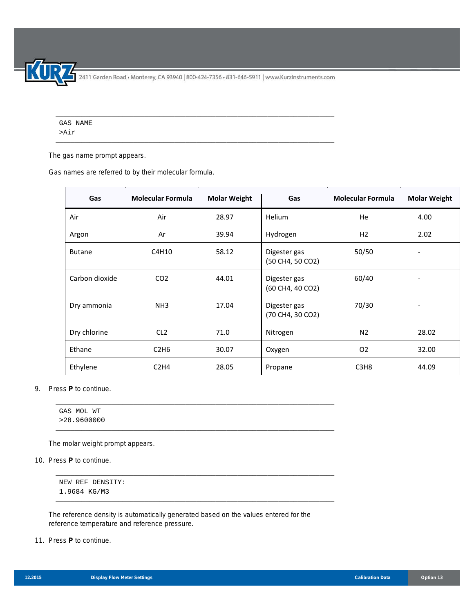2411 Garden Road • Monterey, CA 93940 | 800-424-7356 • 831-646-5911 | www.KurzInstruments.com

\_\_\_\_\_\_\_\_\_\_\_\_\_\_\_\_\_\_\_\_\_\_\_\_\_\_\_\_\_\_\_\_\_\_\_\_\_\_\_\_\_\_\_\_\_\_\_\_\_\_\_\_\_\_\_\_\_\_\_\_\_\_\_\_\_\_\_\_\_\_\_\_\_\_\_

\_\_\_\_\_\_\_\_\_\_\_\_\_\_\_\_\_\_\_\_\_\_\_\_\_\_\_\_\_\_\_\_\_\_\_\_\_\_\_\_\_\_\_\_\_\_\_\_\_\_\_\_\_\_\_\_\_\_\_\_\_\_\_\_\_\_\_\_\_\_\_\_\_\_\_

GAS NAME >Air

The gas name prompt appears.

Gas names are referred to by their molecular formula.

| Gas            | <b>Molecular Formula</b> | <b>Molar Weight</b> | Gas                              | <b>Molecular Formula</b>      | <b>Molar Weight</b> |
|----------------|--------------------------|---------------------|----------------------------------|-------------------------------|---------------------|
| Air            | Air                      | 28.97               | Helium                           | He                            | 4.00                |
| Argon          | Ar                       | 39.94               | Hydrogen                         | H <sub>2</sub>                | 2.02                |
| <b>Butane</b>  | C4H10                    | 58.12               | Digester gas<br>(50 CH4, 50 CO2) | 50/50                         |                     |
| Carbon dioxide | CO <sub>2</sub>          | 44.01               | Digester gas<br>(60 CH4, 40 CO2) | 60/40                         |                     |
| Dry ammonia    | NH <sub>3</sub>          | 17.04               | Digester gas<br>(70 CH4, 30 CO2) | 70/30                         |                     |
| Dry chlorine   | CL <sub>2</sub>          | 71.0                | Nitrogen                         | N <sub>2</sub>                | 28.02               |
| Ethane         | C2H6                     | 30.07               | Oxygen                           | O <sub>2</sub>                | 32.00               |
| Ethylene       | C2H4                     | 28.05               | Propane                          | C <sub>3</sub> H <sub>8</sub> | 44.09               |

## 9. Press **P** to continue.

The molar weight prompt appears.

10. Press **P** to continue.

NEW REF DENSITY: 1.9684 KG/M3

The reference density is automatically generated based on the values entered for the reference temperature and reference pressure.

\_\_\_\_\_\_\_\_\_\_\_\_\_\_\_\_\_\_\_\_\_\_\_\_\_\_\_\_\_\_\_\_\_\_\_\_\_\_\_\_\_\_\_\_\_\_\_\_\_\_\_\_\_\_\_\_\_\_\_\_\_\_\_\_\_\_\_\_\_\_\_\_\_\_\_

\_\_\_\_\_\_\_\_\_\_\_\_\_\_\_\_\_\_\_\_\_\_\_\_\_\_\_\_\_\_\_\_\_\_\_\_\_\_\_\_\_\_\_\_\_\_\_\_\_\_\_\_\_\_\_\_\_\_\_\_\_\_\_\_\_\_\_\_\_\_\_\_\_\_\_

\_\_\_\_\_\_\_\_\_\_\_\_\_\_\_\_\_\_\_\_\_\_\_\_\_\_\_\_\_\_\_\_\_\_\_\_\_\_\_\_\_\_\_\_\_\_\_\_\_\_\_\_\_\_\_\_\_\_\_\_\_\_\_\_\_\_\_\_\_\_\_\_\_\_\_

\_\_\_\_\_\_\_\_\_\_\_\_\_\_\_\_\_\_\_\_\_\_\_\_\_\_\_\_\_\_\_\_\_\_\_\_\_\_\_\_\_\_\_\_\_\_\_\_\_\_\_\_\_\_\_\_\_\_\_\_\_\_\_\_\_\_\_\_\_\_\_\_\_\_\_

11. Press **P** to continue.

 $\overline{a}$ 

GAS MOL WT >28.9600000